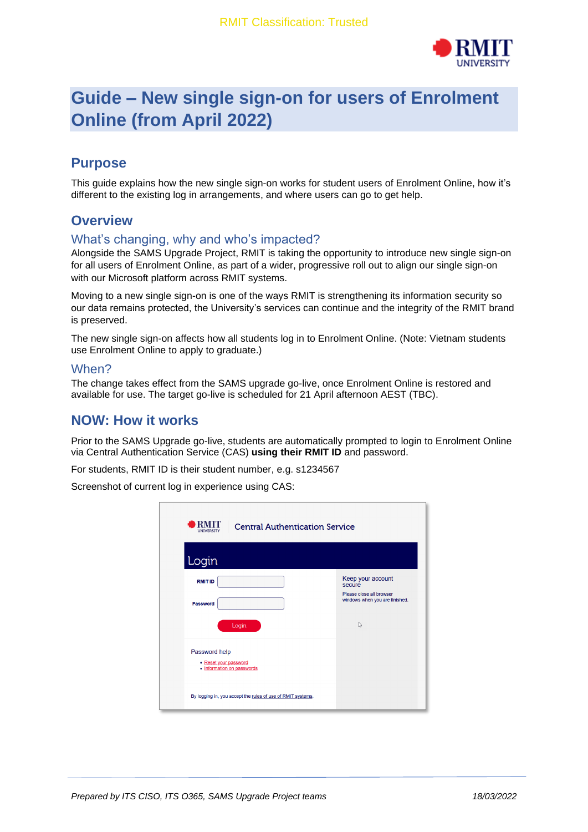

# **Guide – New single sign-on for users of Enrolment Online (from April 2022)**

# **Purpose**

This guide explains how the new single sign-on works for student users of Enrolment Online, how it's different to the existing log in arrangements, and where users can go to get help.

## **Overview**

#### What's changing, why and who's impacted?

Alongside the SAMS Upgrade Project, RMIT is taking the opportunity to introduce new single sign-on for all users of Enrolment Online, as part of a wider, progressive roll out to align our single sign-on with our Microsoft platform across RMIT systems.

Moving to a new single sign-on is one of the ways RMIT is strengthening its information security so our data remains protected, the University's services can continue and the integrity of the RMIT brand is preserved.

The new single sign-on affects how all students log in to Enrolment Online. (Note: Vietnam students use Enrolment Online to apply to graduate.)

#### When?

The change takes effect from the SAMS upgrade go-live, once Enrolment Online is restored and available for use. The target go-live is scheduled for 21 April afternoon AEST (TBC).

#### **NOW: How it works**

Prior to the SAMS Upgrade go-live, students are automatically prompted to login to Enrolment Online via Central Authentication Service (CAS) **using their RMIT ID** and password.

For students, RMIT ID is their student number, e.g. s1234567

Screenshot of current log in experience using CAS:

| <b>RMIT</b><br><b>Central Authentication Service</b><br>UNIVERSITY<br>Login |                                                                                                 |
|-----------------------------------------------------------------------------|-------------------------------------------------------------------------------------------------|
| <b>RMIT ID</b><br><b>Password</b><br>Login                                  | Keep your account<br>secure<br>Please close all browser<br>windows when you are finished.<br>r, |
| Password help<br>• Reset your password<br>• Information on passwords        |                                                                                                 |
| By logging in, you accept the rules of use of RMIT systems.                 |                                                                                                 |